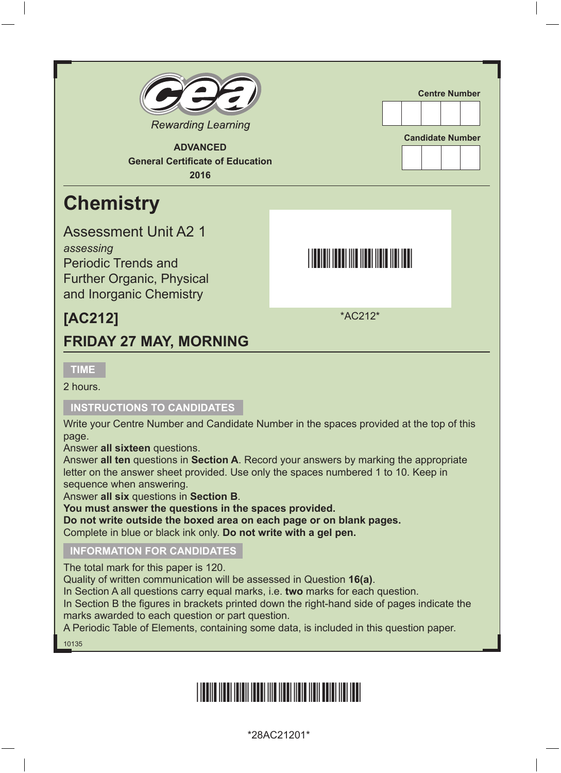

**ADVANCED General Certificate of Education 2016**

## **Chemistry**

Assessment Unit A2 1

*assessing* Periodic Trends and Further Organic, Physical and Inorganic Chemistry

### **[AC212]**

#### **FRIDAY 27 MAY, MORNING**

**TIME**

2 hours.

#### **INSTRUCTIONS TO CANDIDATES**

Write your Centre Number and Candidate Number in the spaces provided at the top of this page.

**Centre Number**

**Candidate Number**

<u>\*AC212 \* AC212 \* AC212 \* AC212 \* AC212 \* AC212 \* AC212 \* AC212 \* AC212 \* AC212 \* AC212 \* AC212 \* AC212 \* AC21</u>

\*AC212\*

Answer **all sixteen** questions.

Answer **all ten** questions in **Section A**. Record your answers by marking the appropriate letter on the answer sheet provided. Use only the spaces numbered 1 to 10. Keep in sequence when answering.

Answer **all six** questions in **Section B**.

**You must answer the questions in the spaces provided.** 

**Do not write outside the boxed area on each page or on blank pages.** 

Complete in blue or black ink only. **Do not write with a gel pen.**

#### **INFORMATION FOR CANDIDATES**

The total mark for this paper is 120.

Quality of written communication will be assessed in Question **16(a)**.

In Section A all questions carry equal marks, i.e. **two** marks for each question.

In Section B the figures in brackets printed down the right-hand side of pages indicate the marks awarded to each question or part question.

A Periodic Table of Elements, containing some data, is included in this question paper.

10135

## \*28AC21201\*

\*28AC21201\*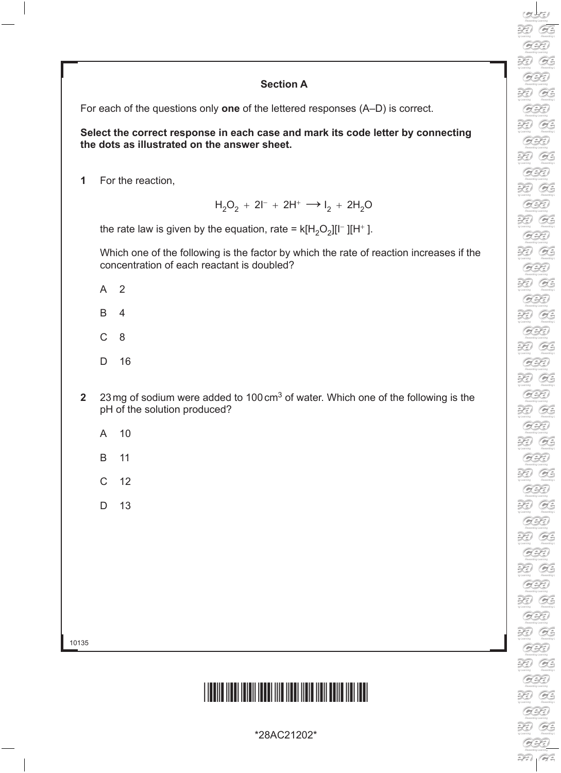#### **Section A**

For each of the questions only **one** of the lettered responses (A–D) is correct.

**Select the correct response in each case and mark its code letter by connecting the dots as illustrated on the answer sheet.**

**1** For the reaction,

 $H_2O_2 + 2I^- + 2H^+ \longrightarrow I_2 + 2H_2O$ 

the rate law is given by the equation, rate =  $k[H_2O_2][I^-][H^+]$ .

Which one of the following is the factor by which the rate of reaction increases if the concentration of each reactant is doubled?

- A 2
- B 4
- C 8
- D 16
- **2** 23mg of sodium were added to 100cm3 of water. Which one of the following is the pH of the solution produced?
	- A 10
	- B 11
	- C 12
	- D 13

10135

### <u>\*28AC21202\*28AC21202\*28AC21202\*28AC21202\*28AC21202\*28AC21202\*28AC21202\*28AC</u>

\*28AC21202\*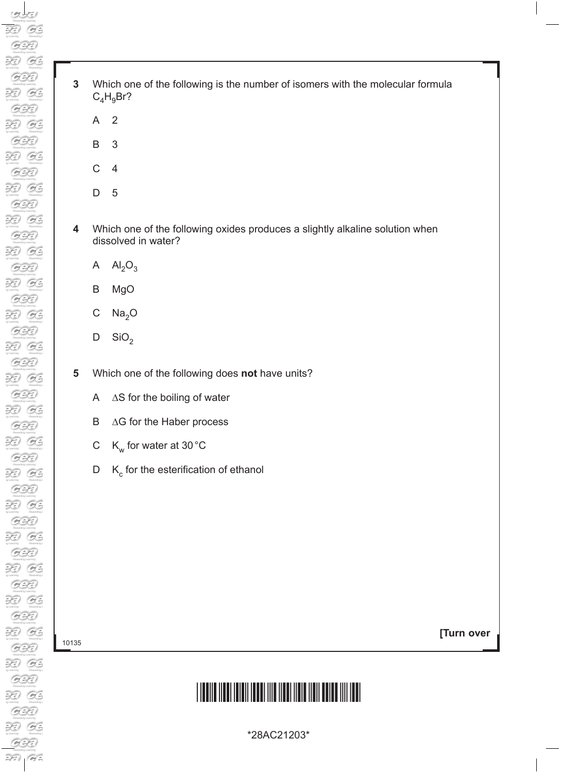- **3** Which one of the following is the number of isomers with the molecular formula  $C_4H_9Br?$ 
	- A 2
	- B 3
	- C 4
	- D 5
- **4** Which one of the following oxides produces a slightly alkaline solution when dissolved in water?
	- A  $Al_2O_3$
	- B MgO
	- C  $Na<sub>2</sub>O$
	- D  $\text{SiO}_2$

**5** Which one of the following does **not** have units?

- A ∆S for the boiling of water
- B ∆G for the Haber process
- C  $K_w$  for water at 30 °C
- $D$  K<sub>c</sub> for the esterification of ethanol

10135

**[Turn over**

# <u>\*28AC21203 AC21203 AC21203 AC2120 AC2120 AC2120 AC2120 AC2120 AC2120 AC2120 AC2120 AC2120 AC2120 AC2120 AC21</u>

\*28AC21203\*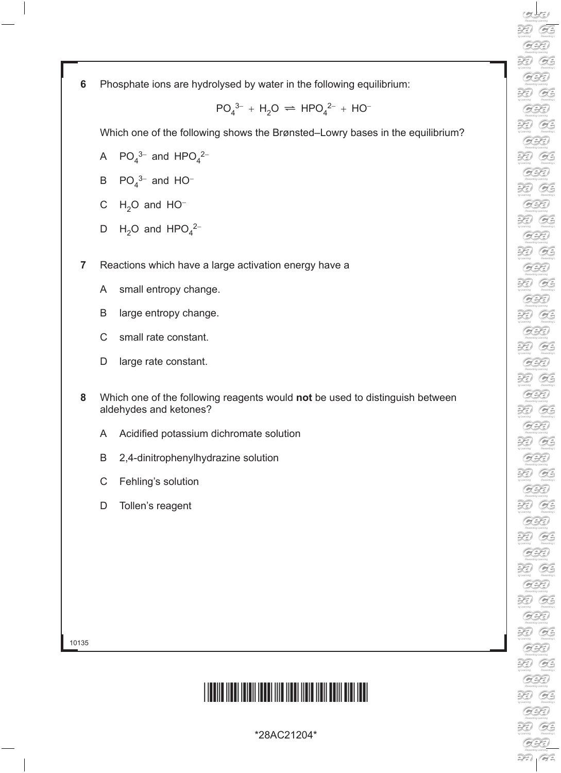**6** Phosphate ions are hydrolysed by water in the following equilibrium:

 $PO_4^{3-} + H_2O \rightleftharpoons HPO_4^{2-} + HO^{-}$ 

Which one of the following shows the Brønsted–Lowry bases in the equilibrium?

- A  $PO_4^{3-}$  and  $HPO_4^{2-}$
- B  $PO_4^{3-}$  and HO<sup>-</sup>
- C  $H_2O$  and  $HO^-$
- D  $H_2O$  and  $HPO_4^2$
- **7** Reactions which have a large activation energy have a
	- A small entropy change.
	- B large entropy change.
	- C small rate constant.
	- D large rate constant.
- **8** Which one of the following reagents would **not** be used to distinguish between aldehydes and ketones?
	- A Acidified potassium dichromate solution
	- B 2,4-dinitrophenylhydrazine solution
	- C Fehling's solution
	- D Tollen's reagent

10135

## \*28AC21204\*

\*28AC21204\*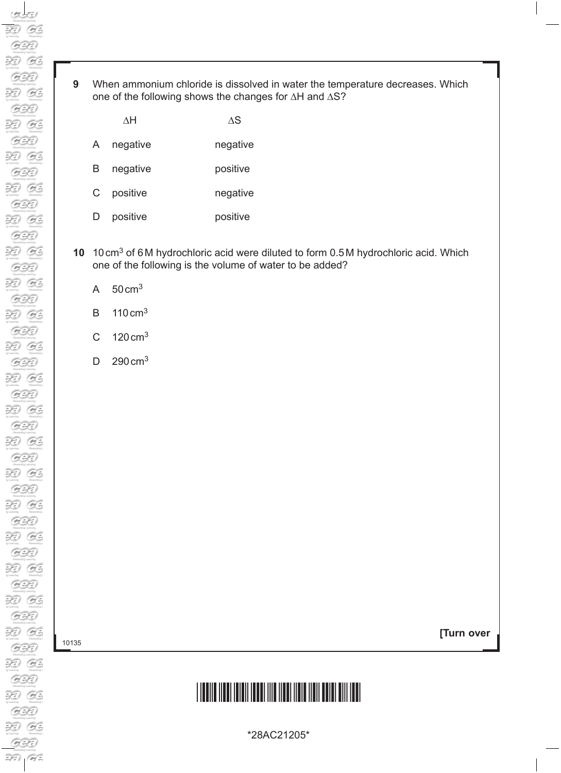**9** When ammonium chloride is dissolved in water the temperature decreases. Which one of the following shows the changes for ∆H and ∆S?

|    | ΛH       | ΛS       |
|----|----------|----------|
| A  | negative | negative |
| B  | negative | positive |
| C. | positive | negative |
|    | positive | positive |

- **10** 10cm3 of 6M hydrochloric acid were diluted to form 0.5M hydrochloric acid. Which one of the following is the volume of water to be added?
	- A 50cm3
	- B 110cm3
	- C  $120 \text{ cm}^3$
	- D 290 cm<sup>3</sup>

10135

**[Turn over**

# \*28AC21205\*

\*28AC21205\*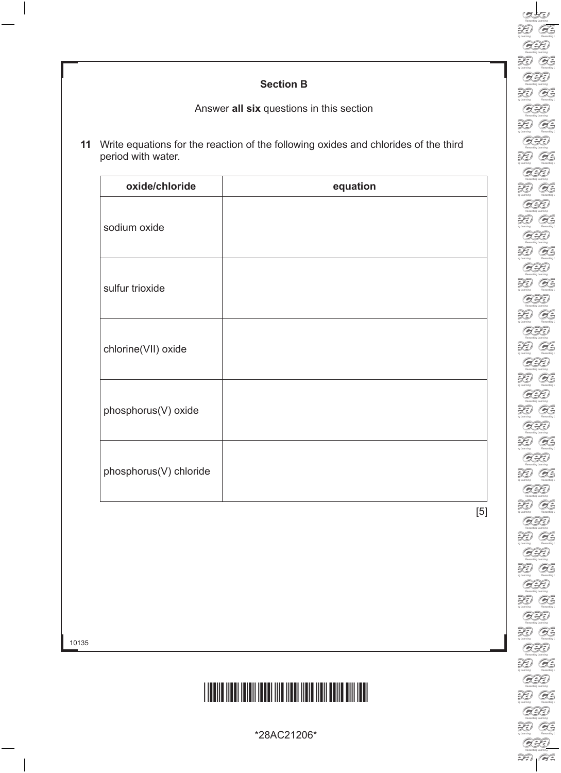#### **Section B**

Answer **all six** questions in this section

**11** Write equations for the reaction of the following oxides and chlorides of the third period with water.

| oxide/chloride         | equation |
|------------------------|----------|
| sodium oxide           |          |
| sulfur trioxide        |          |
| chlorine(VII) oxide    |          |
| phosphorus(V) oxide    |          |
| phosphorus(V) chloride |          |

[5]

### \*28AC21206\*

\*28AC21206\*

10135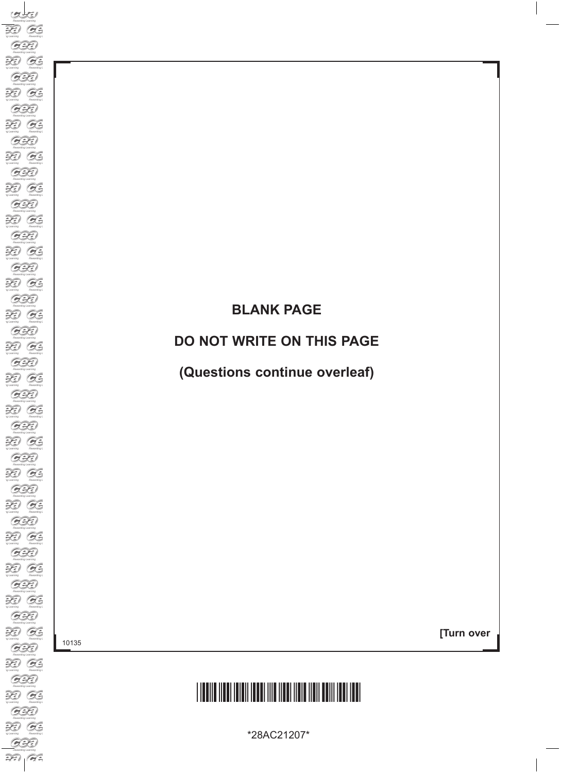### **BLANK PAGE**

#### **DO NOT WRITE ON THIS PAGE**

**(Questions continue overleaf)**

10135

**[Turn over**

# \*28AC21207\*

\*28AC21207\*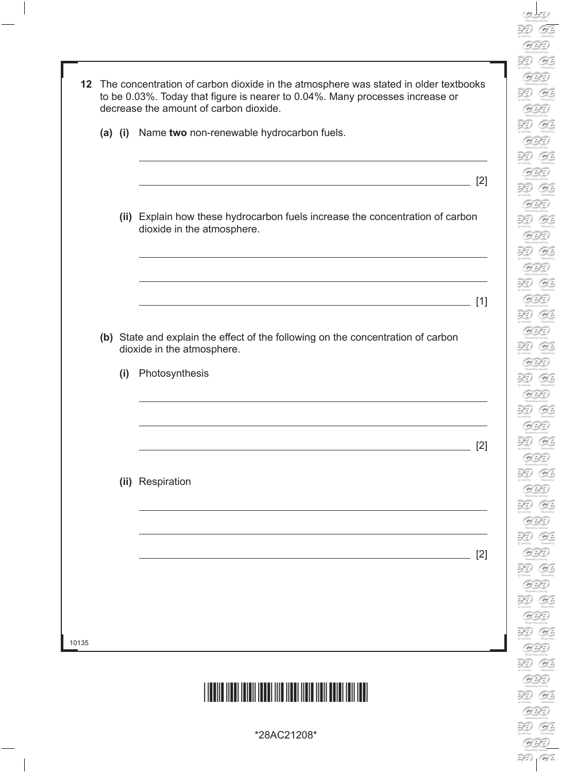|  |     | 12 The concentration of carbon dioxide in the atmosphere was stated in older textbooks<br>to be 0.03%. Today that figure is nearer to 0.04%. Many processes increase or<br>decrease the amount of carbon dioxide.             |     |
|--|-----|-------------------------------------------------------------------------------------------------------------------------------------------------------------------------------------------------------------------------------|-----|
|  |     | (a) (i) Name two non-renewable hydrocarbon fuels.                                                                                                                                                                             |     |
|  |     | the control of the control of the control of the control of the control of the control of the control of the control of the control of the control of the control of the control of the control of the control of the control | [2] |
|  |     | (ii) Explain how these hydrocarbon fuels increase the concentration of carbon<br>dioxide in the atmosphere.                                                                                                                   |     |
|  |     |                                                                                                                                                                                                                               | [1] |
|  |     | (b) State and explain the effect of the following on the concentration of carbon<br>dioxide in the atmosphere.                                                                                                                |     |
|  | (i) | Photosynthesis                                                                                                                                                                                                                |     |
|  |     |                                                                                                                                                                                                                               | [2] |
|  |     | (ii) Respiration                                                                                                                                                                                                              |     |
|  |     |                                                                                                                                                                                                                               | [2] |
|  |     |                                                                                                                                                                                                                               |     |
|  |     |                                                                                                                                                                                                                               |     |

**DED**<br>
sy Learning<br>
Rewards

Rewards<br>
The Learning<br>
Rewards<br>
The Rewards<br>
The Learning

**19 Learning**<br> **Frowards**<br> **Property**<br> **Property** 

 $\overbrace{r}$ <br> $\overbrace{r}$ <br> $\overbrace{r}$ <br> $\overbrace{r}$ <br> $\overbrace{r}$ <br> $\overbrace{r}$ <br> $\overbrace{r}$ <br> $\overbrace{r}$ <br> $\overbrace{r}$ <br> $\overbrace{r}$ <br> $\overbrace{r}$ <br> $\overbrace{r}$ <br> $\overbrace{r}$ <br> $\overbrace{r}$ 

Rewards<br>
y Learning<br>
y Learning<br>
Rewards:

ng Learning<br>Romandk<br>**DED**<br>ng Learning

a Christian Christian Christian Christian Christian Christian Christian Christian Christian Christian Christian<br>Christian Christian Christian Christian Christian Christian Christian Christian Christian Christian Christian<br>

\*28AC21208\*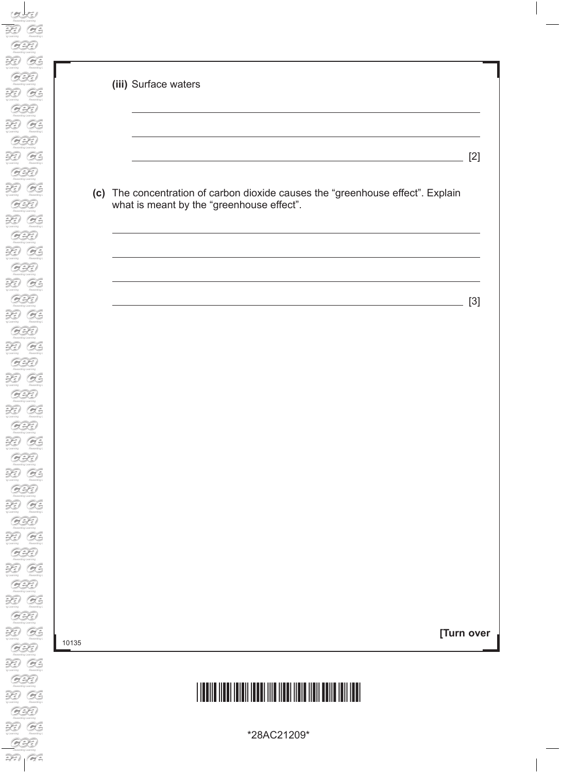| (iii) Surface waters                                                                                                         |       |
|------------------------------------------------------------------------------------------------------------------------------|-------|
|                                                                                                                              | $[2]$ |
| (c) The concentration of carbon dioxide causes the "greenhouse effect". Explain<br>what is meant by the "greenhouse effect". |       |
|                                                                                                                              |       |
| <u> 1989 - Johann Barn, mars eta bainar eta bainar eta baina eta baina eta baina eta baina eta baina eta baina e</u>         | $[3]$ |
|                                                                                                                              |       |
|                                                                                                                              |       |
|                                                                                                                              |       |
|                                                                                                                              |       |
| [Turn over                                                                                                                   |       |
|                                                                                                                              |       |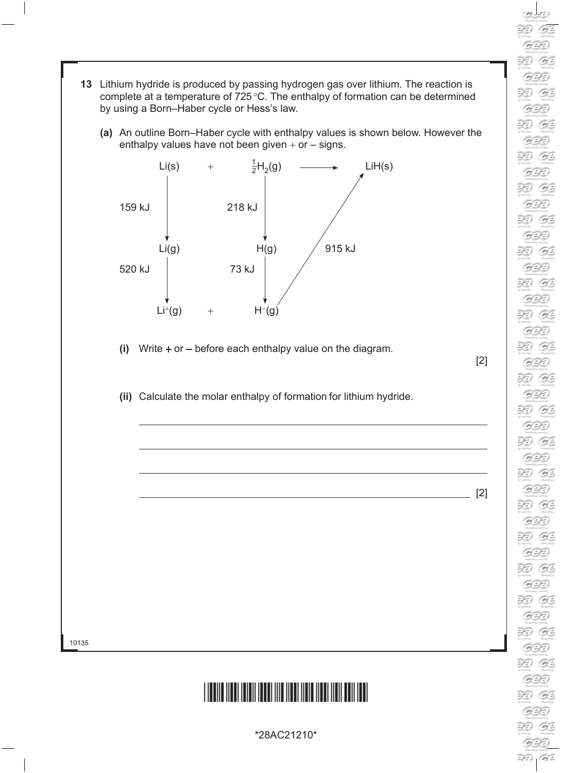- **13** Lithium hydride is produced by passing hydrogen gas over lithium. The reaction is complete at a temperature of 725°C. The enthalpy of formation can be determined by using a Born–Haber cycle or Hess's law.
	- **(a)** An outline Born–Haber cycle with enthalpy values is shown below. However the enthalpy values have not been given  $+$  or  $-$  signs.



- **(i)** Write + or before each enthalpy value on the diagram.
- **(ii)** Calculate the molar enthalpy of formation for lithium hydride.

 $[2]$ 

[2]

RD. B  $\sum_{n \text{ learning}}$  $O$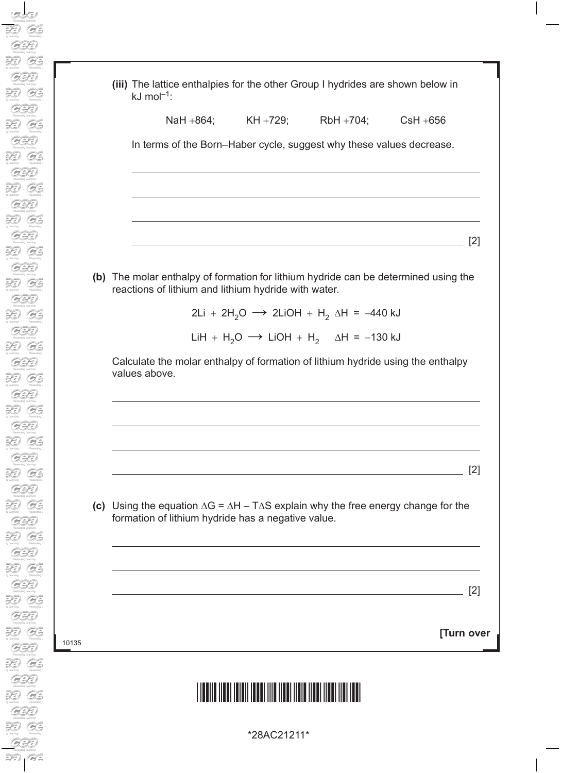|                        | (iii) The lattice enthalpies for the other Group I hydrides are shown below in |  |
|------------------------|--------------------------------------------------------------------------------|--|
| kJ mol <sup>-1</sup> : |                                                                                |  |

NaH +864; KH +729; RbH +704; CsH +656

In terms of the Born–Haber cycle, suggest why these values decrease.

**(b)** The molar enthalpy of formation for lithium hydride can be determined using the reactions of lithium and lithium hydride with water.

2Li + 2H<sub>2</sub>O → 2LiOH + H<sub>2</sub>  $\Delta$ H = -440 kJ

[2]

[2]

LiH + H<sub>2</sub>O  $\rightarrow$  LiOH + H<sub>2</sub>  $\Delta$ H = -130 kJ

 Calculate the molar enthalpy of formation of lithium hydride using the enthalpy values above.

**(c)** Using the equation ∆G = ∆H – T∆S explain why the free energy change for the formation of lithium hydride has a negative value.

[2]

**[Turn over**

## \*28AC21211\*

10135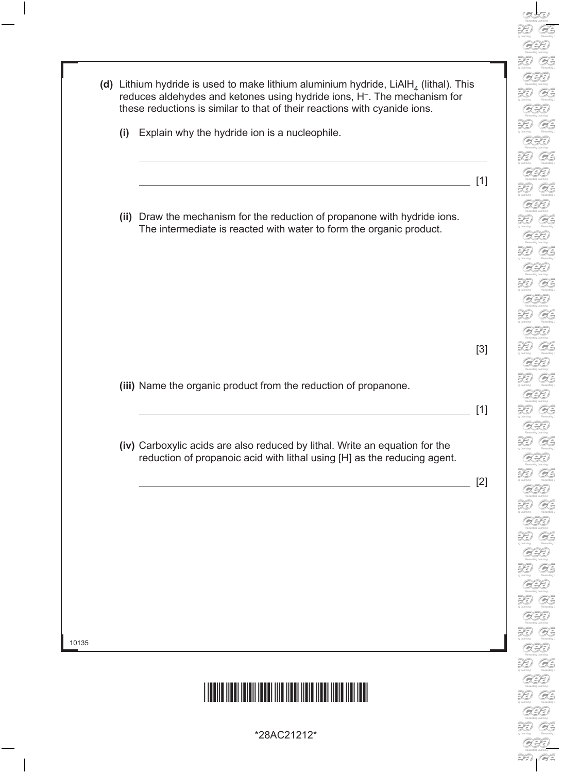|     | (d) Lithium hydride is used to make lithium aluminium hydride, LiAlH <sub>4</sub> (lithal). This<br>reduces aldehydes and ketones using hydride ions, H <sup>-</sup> . The mechanism for<br>these reductions is similar to that of their reactions with cyanide ions. |       |
|-----|-----------------------------------------------------------------------------------------------------------------------------------------------------------------------------------------------------------------------------------------------------------------------|-------|
| (i) | Explain why the hydride ion is a nucleophile.                                                                                                                                                                                                                         |       |
|     |                                                                                                                                                                                                                                                                       | [1]   |
|     | (ii) Draw the mechanism for the reduction of propanone with hydride ions.<br>The intermediate is reacted with water to form the organic product.                                                                                                                      |       |
|     |                                                                                                                                                                                                                                                                       |       |
|     |                                                                                                                                                                                                                                                                       | $[3]$ |
|     | (iii) Name the organic product from the reduction of propanone.                                                                                                                                                                                                       | [1]   |
|     | (iv) Carboxylic acids are also reduced by lithal. Write an equation for the<br>reduction of propanoic acid with lithal using [H] as the reducing agent.                                                                                                               |       |
|     |                                                                                                                                                                                                                                                                       | $[2]$ |
|     |                                                                                                                                                                                                                                                                       |       |
|     |                                                                                                                                                                                                                                                                       |       |
|     |                                                                                                                                                                                                                                                                       |       |

L

\*28AC21212\*

 $\mathcal{D}$  $\sigma$  Learning

 $\overrightarrow{P}$  $\sigma$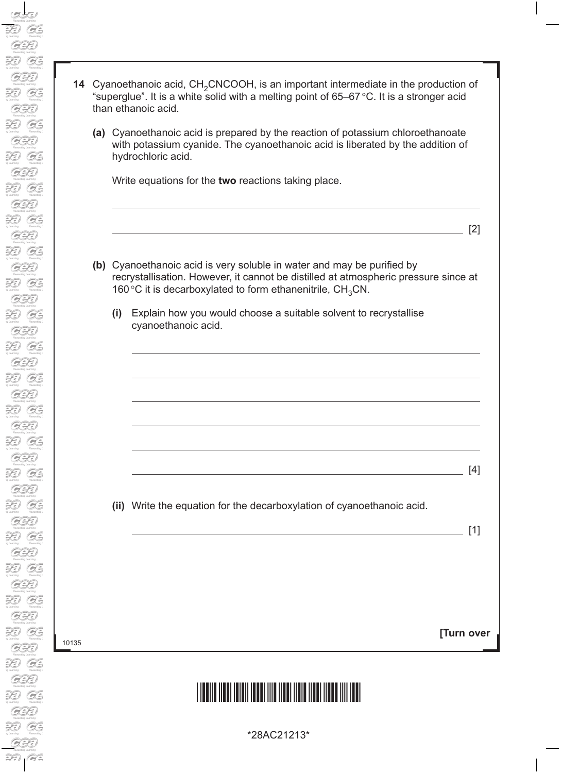| 14 Cyanoethanoic acid, CH <sub>2</sub> CNCOOH, is an important intermediate in the production of |
|--------------------------------------------------------------------------------------------------|
| "superglue". It is a white solid with a melting point of 65–67 °C. It is a stronger acid         |
| than ethanoic acid.                                                                              |

**(a)** Cyanoethanoic acid is prepared by the reaction of potassium chloroethanoate with potassium cyanide. The cyanoethanoic acid is liberated by the addition of hydrochloric acid.

Write equations for the **two** reactions taking place.

[2]

- **(b)** Cyanoethanoic acid is very soluble in water and may be purified by recrystallisation. However, it cannot be distilled at atmospheric pressure since at 160 $^{\circ}$ C it is decarboxylated to form ethanenitrile, CH<sub>3</sub>CN.
	- **(i)** Explain how you would choose a suitable solvent to recrystallise cyanoethanoic acid.

**(ii)** Write the equation for the decarboxylation of cyanoethanoic acid.

[4]

[1]

**[Turn over**

## \*28AC21213\*

10135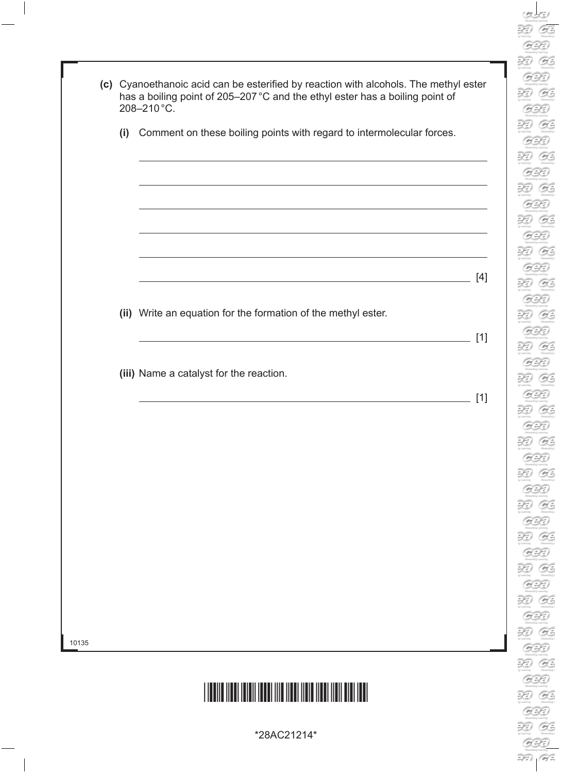| Ì                                   |
|-------------------------------------|
|                                     |
| Í<br>C                              |
|                                     |
| $\mathbb{R}$                        |
|                                     |
| ۵<br>l                              |
|                                     |
| $\mathbb{R}$<br>Ì)                  |
|                                     |
| ۵<br>l                              |
| $\mathbb{R}$<br>I)                  |
|                                     |
| l<br>υ                              |
|                                     |
| $\mathbb{R}$                        |
|                                     |
| l                                   |
|                                     |
| Q<br>$\overline{\ell}$              |
|                                     |
| C<br>ź                              |
| $\mathfrak{D}$<br>)                 |
|                                     |
| Ĉ                                   |
|                                     |
| <b>Model</b><br>þ<br>$\big)$        |
|                                     |
| Õ                                   |
|                                     |
| $\mathbb{R}$<br>)                   |
| Б                                   |
| l                                   |
| $\mathbb{R}$<br>$\hat{\mathcal{V}}$ |
|                                     |
| 2<br>¢                              |
|                                     |
| $\mathbb{R}$<br>)                   |
|                                     |
| Ô                                   |
|                                     |
| $\mathbb{R}$<br>$\hat{\theta}$      |
|                                     |
| 9<br>C                              |
| 29)                                 |
|                                     |
|                                     |
|                                     |
| ò,<br>Q                             |
| j)                                  |
|                                     |
| o<br>Q                              |
|                                     |
| í                                   |
|                                     |
| ¢<br>A                              |
|                                     |
| )<br>Ξ<br>I                         |
|                                     |
| Q                                   |
|                                     |
| $\supsetneq$<br>I)                  |
| ò,                                  |
| ¢                                   |
| j)                                  |
| $\supsetneq$                        |
| ß                                   |
|                                     |
| Q<br>۱                              |
|                                     |
| ¢                                   |
|                                     |
| Q<br>b                              |
| ۵                                   |
| Q                                   |
| Ž<br>Ì)                             |
|                                     |
|                                     |
| C                                   |
| $\mathfrak{D}$<br>)                 |
|                                     |
| l<br>c                              |
|                                     |
| $\supsetneq$<br>)                   |
| $\bigcirc$                          |

|       |     | (c) Cyanoethanoic acid can be esterified by reaction with alcohols. The methyl ester<br>has a boiling point of 205-207 °C and the ethyl ester has a boiling point of<br>208-210°C.                                                                           |                |
|-------|-----|--------------------------------------------------------------------------------------------------------------------------------------------------------------------------------------------------------------------------------------------------------------|----------------|
|       | (i) | Comment on these boiling points with regard to intermolecular forces.                                                                                                                                                                                        |                |
|       |     | and the control of the control of the control of the control of the control of the control of the control of the<br><u> 1989 - Johann Stoff, amerikansk politiker (d. 1989)</u>                                                                              |                |
|       |     | <u> 1989 - Johann Stein, mars an deutscher Stein und der Stein und der Stein und der Stein und der Stein und der</u><br>(ii) Write an equation for the formation of the methyl ester.<br><u> 1989 - Johann Stein, mars an deus Amerikaansk kommunister (</u> | $[4]$<br>$[1]$ |
|       |     | (iii) Name a catalyst for the reaction.<br>the contract of the contract of the contract of the contract of the contract of the contract of the contract of                                                                                                   | $[1]$          |
|       |     |                                                                                                                                                                                                                                                              |                |
|       |     |                                                                                                                                                                                                                                                              |                |
| 10135 |     |                                                                                                                                                                                                                                                              |                |
|       |     |                                                                                                                                                                                                                                                              |                |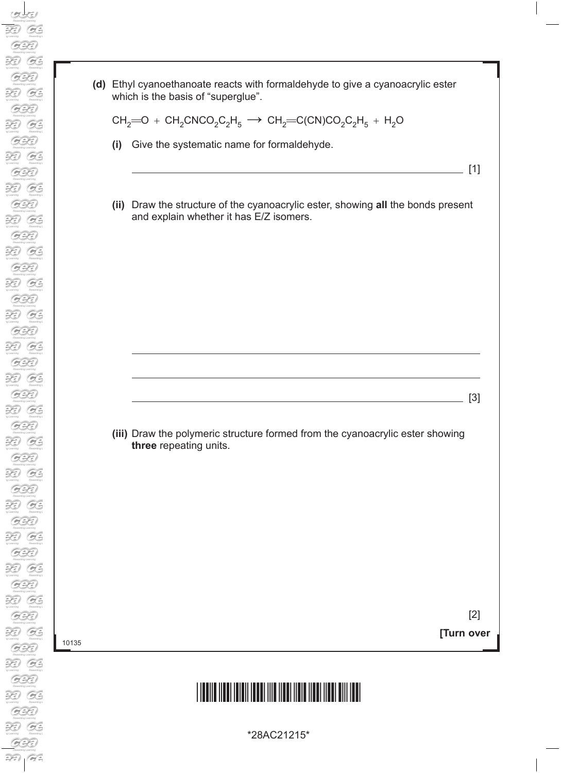**(d)** Ethyl cyanoethanoate reacts with formaldehyde to give a cyanoacrylic ester which is the basis of "superglue".

$$
\mathrm{CH}_2\!\!=\!\!O + \mathrm{CH}_2\mathrm{CNCO}_2\mathrm{C}_2\mathrm{H}_5 \longrightarrow \mathrm{CH}_2\!\!=\!\!\mathrm{C(CN)CO}_2\mathrm{C}_2\mathrm{H}_5 + \mathrm{H}_2\mathrm{O}
$$

- **(i)** Give the systematic name for formaldehyde.
- **(ii)** Draw the structure of the cyanoacrylic ester, showing **all** the bonds present and explain whether it has E/Z isomers.

 **(iii)** Draw the polymeric structure formed from the cyanoacrylic ester showing **three** repeating units.

10135

**[Turn over** [2]

 $\frac{1}{2}$  [1]

 $\overline{\phantom{a}}$  [3]

## \*28AC21215\*

\*28AC21215\*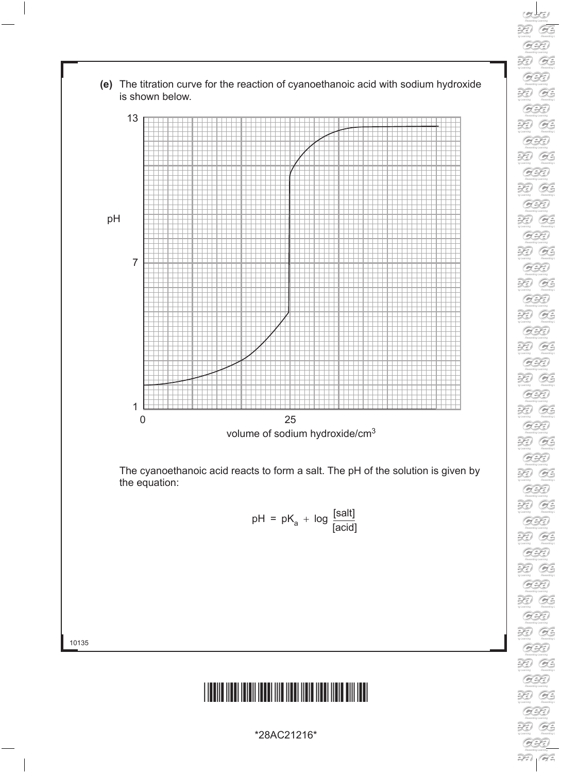



 $O$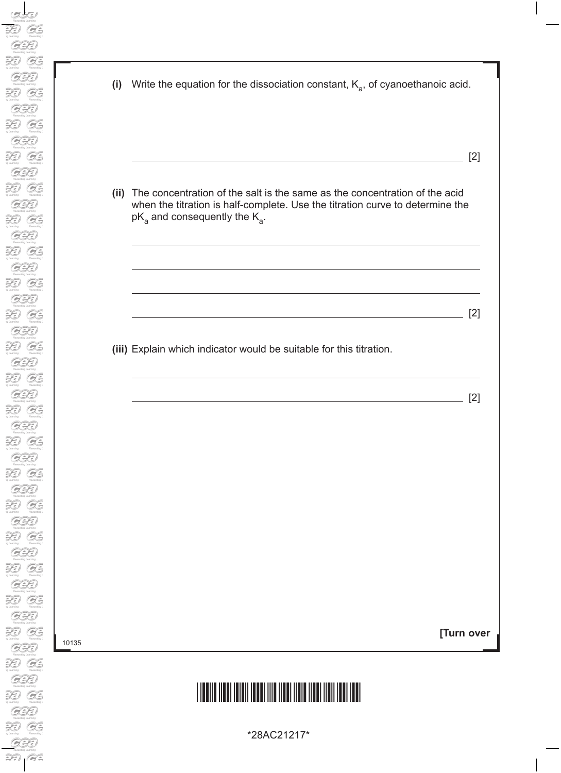| (i) Write the equation for the dissociation constant, $K_a$ , of cyanoethanoic acid.                                                                                                                    |
|---------------------------------------------------------------------------------------------------------------------------------------------------------------------------------------------------------|
|                                                                                                                                                                                                         |
| (ii) The concentration of the salt is the same as the concentration of the acid<br>when the titration is half-complete. Use the titration curve to determine the<br>$pK_a$ and consequently the $K_a$ . |
|                                                                                                                                                                                                         |
|                                                                                                                                                                                                         |
| (iii) Explain which indicator would be suitable for this titration.                                                                                                                                     |
|                                                                                                                                                                                                         |

**[Turn over**

# \*28AC21217\*

\*28AC21217\*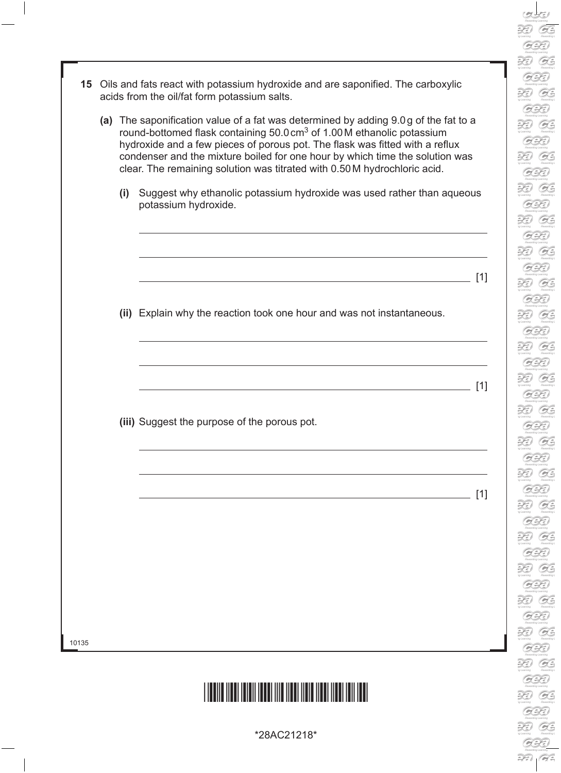- RD.  $O$  $\mathcal{L}$ G.  $\widetilde{\mathcal{H}}$ G. 39 G. R G. R. B R B RD. G. R G. XI  $O$ R G. R G. R G. XI G. XI G. R G. RD. G. XI G. RD. G. 39 G.  $\widetilde{\mathcal{H}}$ G. R. G. R G.
- **15** Oils and fats react with potassium hydroxide and are saponified. The carboxylic acids from the oil/fat form potassium salts. **(a)** The saponification value of a fat was determined by adding 9.0g of the fat to a round-bottomed flask containing 50.0 cm<sup>3</sup> of 1.00 M ethanolic potassium hydroxide and a few pieces of porous pot. The flask was fitted with a reflux condenser and the mixture boiled for one hour by which time the solution was clear. The remaining solution was titrated with 0.50M hydrochloric acid. **(i)** Suggest why ethanolic potassium hydroxide was used rather than aqueous potassium hydroxide. [1] **(ii)** Explain why the reaction took one hour and was not instantaneous.  $\overline{\phantom{a}}$  [1] **(iii)** Suggest the purpose of the porous pot. [1]



\*28AC21218\*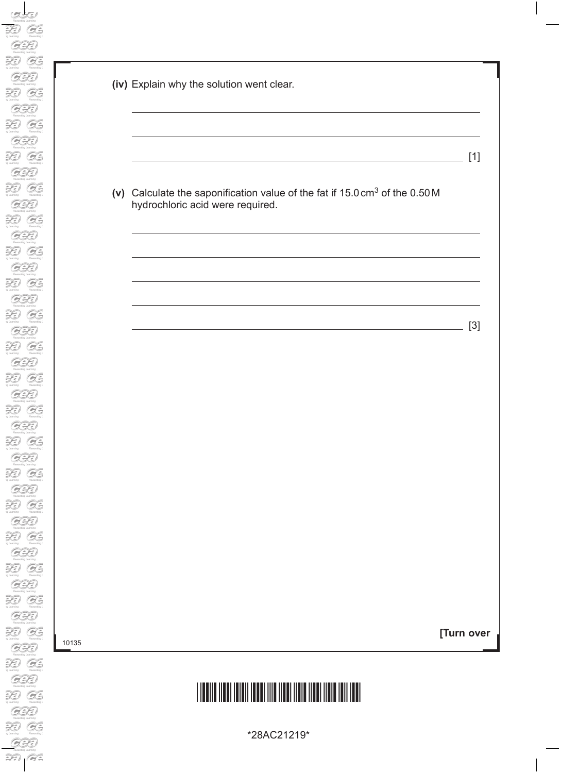| (iv) Explain why the solution went clear.                                                                                   |  |
|-----------------------------------------------------------------------------------------------------------------------------|--|
|                                                                                                                             |  |
| (v) Calculate the saponification value of the fat if 15.0 cm <sup>3</sup> of the 0.50 M<br>hydrochloric acid were required. |  |
|                                                                                                                             |  |
|                                                                                                                             |  |
| <u> 1989 - Johann Barn, amerikansk politiker (d. 1989)</u>                                                                  |  |
|                                                                                                                             |  |
|                                                                                                                             |  |
|                                                                                                                             |  |
|                                                                                                                             |  |
|                                                                                                                             |  |

**[Turn over**

# \*28AC21219\*

\*28AC21219\*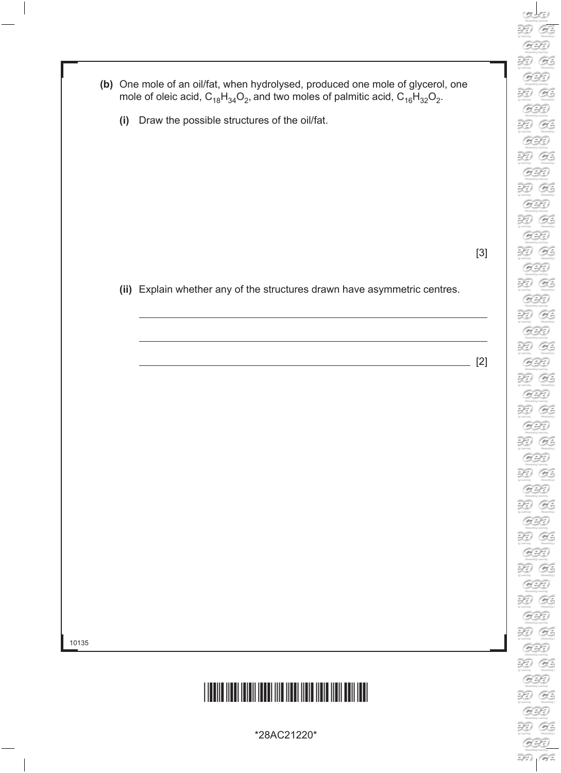- **(b)** One mole of an oil/fat, when hydrolysed, produced one mole of glycerol, one mole of oleic acid,  ${\sf C}_{18} {\sf H}_{34} {\sf O}_2$ , and two moles of palmitic acid,  ${\sf C}_{16} {\sf H}_{32} {\sf O}_2$ .
	- **(i)** Draw the possible structures of the oil/fat.

[3]

 **(ii)** Explain whether any of the structures drawn have asymmetric centres.

[2]

10135



\*28AC21220\*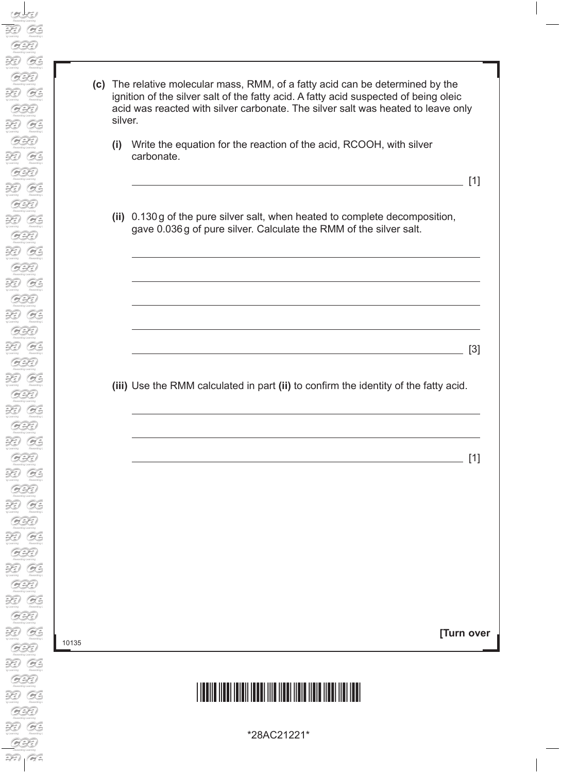| silver.<br>(i) | Write the equation for the reaction of the acid, RCOOH, with silver                                                                              |                            |
|----------------|--------------------------------------------------------------------------------------------------------------------------------------------------|----------------------------|
|                | carbonate.                                                                                                                                       | [1]                        |
|                | (ii) 0.130g of the pure silver salt, when heated to complete decomposition,<br>gave 0.036g of pure silver. Calculate the RMM of the silver salt. |                            |
|                |                                                                                                                                                  |                            |
|                |                                                                                                                                                  |                            |
|                |                                                                                                                                                  |                            |
|                | (iii) Use the RMM calculated in part (ii) to confirm the identity of the fatty acid.                                                             |                            |
|                |                                                                                                                                                  |                            |
|                |                                                                                                                                                  | $\lceil 3 \rceil$<br>$[1]$ |
|                |                                                                                                                                                  |                            |
|                |                                                                                                                                                  |                            |

# \*28AC21221\*

\*28AC21221\*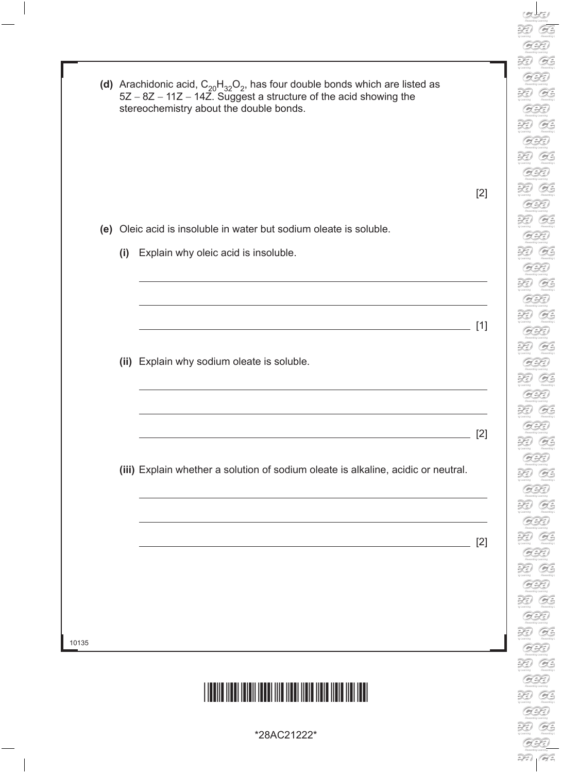|       |  |     | (d) Arachidonic acid, $C_{20}H_{32}O_2$ , has four double bonds which are listed as<br>$5Z - 8Z - 11Z - 14Z$ . Suggest a structure of the acid showing the<br>stereochemistry about the double bonds. |       |  |  |
|-------|--|-----|-------------------------------------------------------------------------------------------------------------------------------------------------------------------------------------------------------|-------|--|--|
|       |  |     |                                                                                                                                                                                                       |       |  |  |
|       |  |     |                                                                                                                                                                                                       | $[2]$ |  |  |
|       |  |     | (e) Oleic acid is insoluble in water but sodium oleate is soluble.                                                                                                                                    |       |  |  |
|       |  | (i) | Explain why oleic acid is insoluble.                                                                                                                                                                  |       |  |  |
|       |  |     |                                                                                                                                                                                                       |       |  |  |
|       |  |     |                                                                                                                                                                                                       |       |  |  |
|       |  |     |                                                                                                                                                                                                       | [1]   |  |  |
|       |  |     | (ii) Explain why sodium oleate is soluble.                                                                                                                                                            |       |  |  |
|       |  |     |                                                                                                                                                                                                       |       |  |  |
|       |  |     |                                                                                                                                                                                                       |       |  |  |
|       |  |     |                                                                                                                                                                                                       | $[2]$ |  |  |
|       |  |     | (iii) Explain whether a solution of sodium oleate is alkaline, acidic or neutral.                                                                                                                     |       |  |  |
|       |  |     |                                                                                                                                                                                                       |       |  |  |
|       |  |     |                                                                                                                                                                                                       | $[2]$ |  |  |
|       |  |     | <u> 1989 - Johann Stein, mars an deus Amerikaansk kommunister (* 1958)</u>                                                                                                                            |       |  |  |
|       |  |     |                                                                                                                                                                                                       |       |  |  |
|       |  |     |                                                                                                                                                                                                       |       |  |  |
| 10135 |  |     |                                                                                                                                                                                                       |       |  |  |
|       |  |     |                                                                                                                                                                                                       |       |  |  |
|       |  |     |                                                                                                                                                                                                       |       |  |  |

**DED**<br> *xy* Learning<br>
Rewards

 $\overrightarrow{\mathcal{H}}$ 

 $\mathcal{G}$  $\sum_{y \text{ *learning*} }$ 

 $\frac{1}{\sqrt{2}}$ 

 $\sigma$ Rewards<br>
<br> **But Section**<br>
<br>
<br> *My Learning*  $\overline{\mathcal{O}}$ **Bowardk**<br> **Alla** *y* Learning

**Sy Learning**<br>Remarks<br>**PCCD** 

 $\sigma$ 

Figures of the Company of the Company of the Company of the Company of the Company of the Company of the Company of the Company of the Company of the Company of the Company of the Company of the Company of the Company of t

Rewards Rewards<br> **Property**<br>
<sub>My</sub> Learning  $G$  $\sum_{n \text{ *Lemma*} }$  $\sigma$  $\mathcal{L}$ 

Rewards:<br>
sy Learning<br>
Rewards:<br>
Suppliers<br>
Suppliers<br>
Suppliers<br>
Suppliers<br>
Suppliers<br>
Suppliers<br>
Suppliers<br>
Suppliers<br>
Suppliers<br>
Suppliers<br>
Suppliers<br>
Suppliers<br>
Suppliers<br>
Suppliers<br>
Suppliers<br>
Suppliers<br>
Suppliers<br>
Su

ng Learning<br>Romands<br>Romands<br>ng Learning

 $\alpha$ 

Remarks<br>
19 Learning<br>
19 Learning<br>
Remarks

 $\sum_{y \text{ *learning*} }$  $\mathcal{G}$ Rewards  $\alpha$  $\sigma$ 

Rewards<br>
y Laaming<br>
y Laaming<br>
Rewards<br>
y Leaming

 $\overbrace{p}$ <br>  $\overbrace{p}$ <br>  $\overbrace{p}$ <br>  $\overbrace{p}$ <br>  $\overbrace{p}$ <br>  $\overbrace{p}$ <br>  $\overbrace{p}$ <br>  $\overbrace{p}$ <br>  $\overbrace{p}$ <br>  $\overbrace{p}$ <br>  $\overbrace{p}$ <br>  $\overbrace{p}$ <br>  $\overbrace{p}$ <br>  $\overbrace{p}$ <br>  $\overbrace{p}$ <br>  $\overbrace{p}$ <br>  $\overbrace{p}$ <br>  $\overbrace{p}$ <br>  $\overbrace{p}$ <br>  $\overbrace{p}$ <br>  $\overbrace{p}$ <br>  $\overbrace{p}$ <br>

Romands<br>PD<br>13 Leambog<br>CC

\*28AC21222\*

 $\mathbf{L}$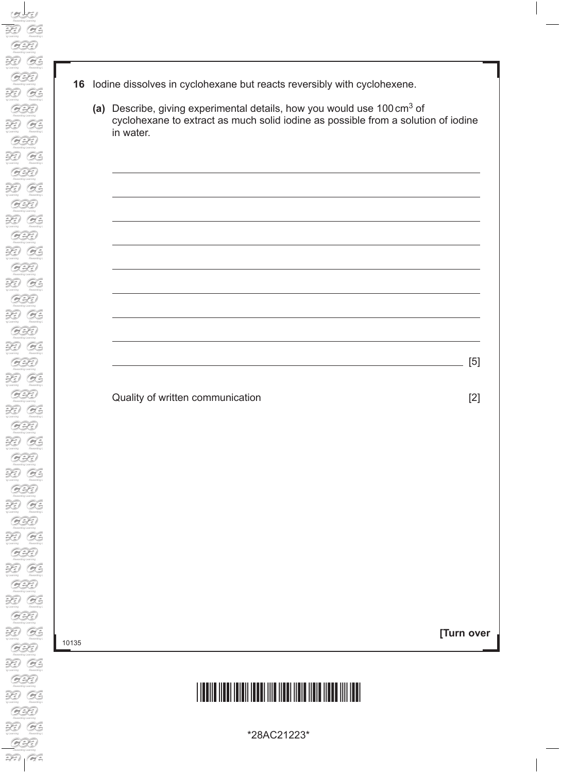- **16** Iodine dissolves in cyclohexane but reacts reversibly with cyclohexene.
	- **(a)** Describe, giving experimental details, how you would use 100cm3 of cyclohexane to extract as much solid iodine as possible from a solution of iodine in water.

Quality of written communication **EXACTE 10** 2

**[Turn over**

[5]

# \*28AC21223\*

\*28AC21223\*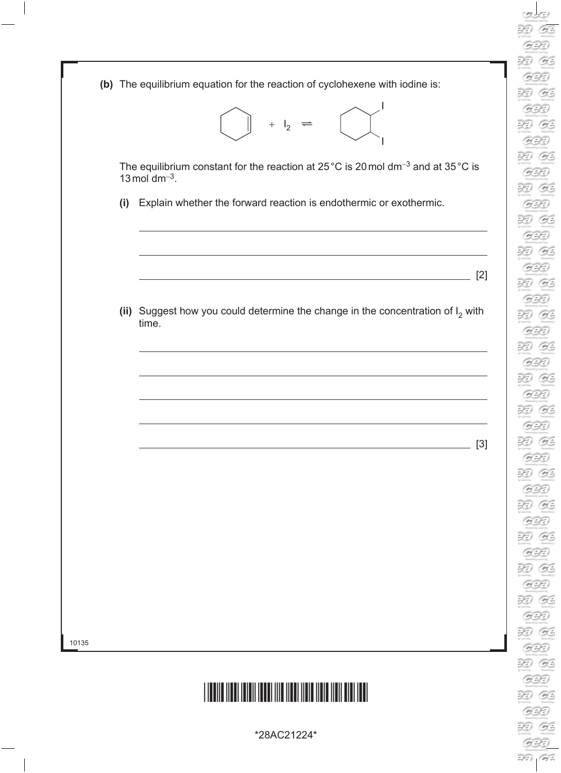|       |     | (b) The equilibrium equation for the reaction of cyclohexene with iodine is:                                         |  |  |  |
|-------|-----|----------------------------------------------------------------------------------------------------------------------|--|--|--|
|       |     | $+$ $I_2$                                                                                                            |  |  |  |
|       |     | The equilibrium constant for the reaction at 25 °C is 20 mol dm <sup>-3</sup> and at 35 °C is<br>13 mol dm $^{-3}$ . |  |  |  |
|       | (i) | Explain whether the forward reaction is endothermic or exothermic.                                                   |  |  |  |
|       |     | [2]                                                                                                                  |  |  |  |
|       |     | (ii) Suggest how you could determine the change in the concentration of $I_2$ with<br>time.                          |  |  |  |
|       |     |                                                                                                                      |  |  |  |
|       |     |                                                                                                                      |  |  |  |
|       |     | $[3]$                                                                                                                |  |  |  |
|       |     |                                                                                                                      |  |  |  |
|       |     |                                                                                                                      |  |  |  |
|       |     |                                                                                                                      |  |  |  |
|       |     |                                                                                                                      |  |  |  |
| 10135 |     |                                                                                                                      |  |  |  |
|       |     |                                                                                                                      |  |  |  |

\*28AC21224\*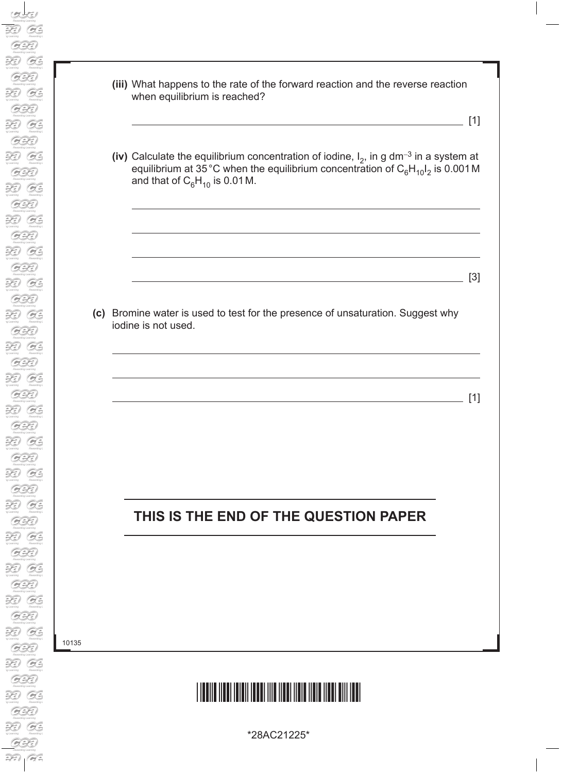**(iii)** What happens to the rate of the forward reaction and the reverse reaction when equilibrium is reached?

[1]

**(iv)** Calculate the equilibrium concentration of iodine,  $I_2$ , in g dm<sup>-3</sup> in a system at equilibrium at 35 °C when the equilibrium concentration of  $C_6H_{10}I_2$  is 0.001 M and that of  $C_6H_{10}$  is 0.01 M.

**(c)** Bromine water is used to test for the presence of unsaturation. Suggest why iodine is not used.

<u>[1]</u> [1] **[1]** 

<u>[3]</u> [3] **[3]** 

#### **THIS IS THE END OF THE QUESTION PAPER**

10135

## <u>\*28AC2125\*28AC2125\*28AC2125\*28AC2125\*28AC2125AC2125AC2125AC2125AC2125AC2125AC212</u>

\*28AC21225\*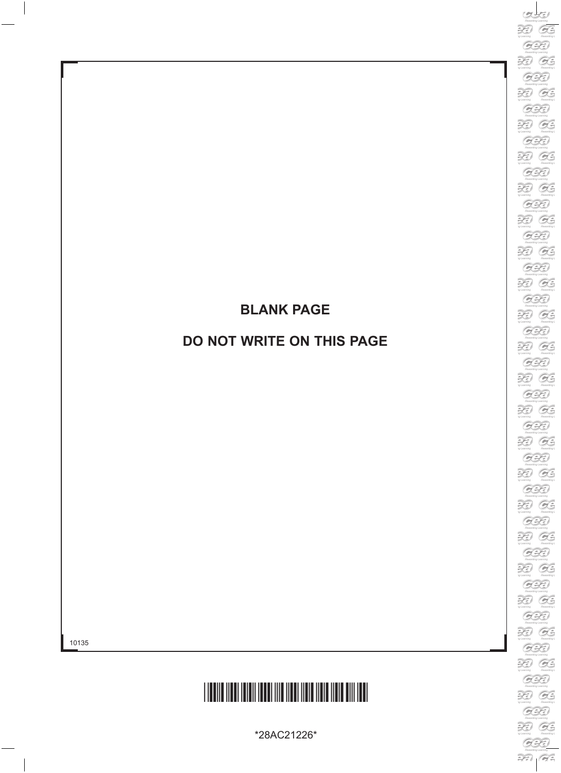### **BLANK PAGE**

#### **DO NOT WRITE ON THIS PAGE**



\*28AC21226\*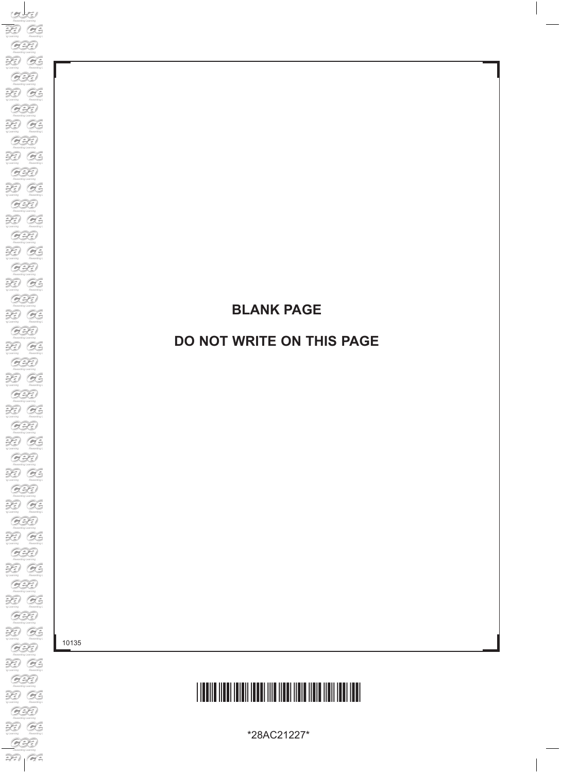### **BLANK PAGE**

#### **DO NOT WRITE ON THIS PAGE**

10135

# <u>\*28AC21227\*28AC2127\*28AC2127\*28AC2127\*28AC2127\*28AC2127</u>

\*28AC21227\*